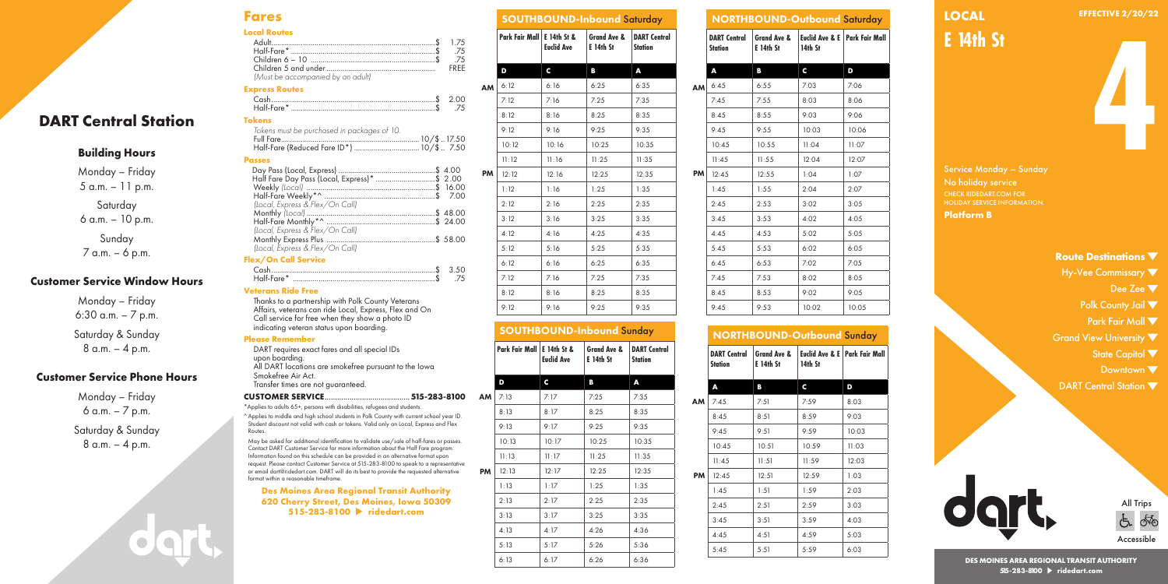## **Fares Local Routes**

|                                   | 75 |
|-----------------------------------|----|
|                                   |    |
| (Must be accompanied by an adult) |    |

#### **Express Routes**

| Half-Fare* |  |
|------------|--|
|            |  |

| .                                           |  |
|---------------------------------------------|--|
| Tokens must be purchased in packages of 10. |  |
|                                             |  |
|                                             |  |

### **Passes**

| Half Fare Day Pass (Local, Express)* \$ 2.00 |  |
|----------------------------------------------|--|
|                                              |  |
|                                              |  |
| (Local, Express & Flex/On Call)              |  |
|                                              |  |
|                                              |  |
| (Local, Express & Flex/On Call)              |  |
|                                              |  |
| (Local, Express & Flex/On Call)              |  |
|                                              |  |

#### **Flex/On Call Service**

| Half-Fare* |  |
|------------|--|
|            |  |

### **Veterans Ride Free**

Thanks to a partnership with Polk County Veterans Affairs, veterans can ride Local, Express, Flex and On Call service for free when they show a photo ID indicating veteran status upon boarding.

#### **Please Remember**

DART requires exact fares and all special IDs upon boarding. All DART locations are smokefree pursuant to the Iowa Smokefree Air Act. Transfer times are not guaranteed.

#### **CUSTOMER SERVICE**.........................................**515-283-8100**

\*Applies to adults 65+, persons with disabilities, refugees and students. ^ Applies to middle and high school students in Polk County with current school year Student discount not valid with cash or tokens. Valid only on Local, Express and Fl Routes.

May be asked for additional identification to validate use/sale of half-fares or passes. Contact DART Customer Service for more information about the Half Fare program. Information found on this schedule can be provided in an alternative format upon request. Please contact Customer Service at 515-283-8100 to speak to a representative or email dart@ridedart.com. DART will do its best to provide the requested alternative format within a reasonable timeframe.

**Des Moines Area Regional Transit Authority 620 Cherry Street, Des Moines, Iowa 50309 515-283-8100 ridedart.com**

| \$<br>1.75<br>. \$<br>.75<br>.75<br>. \$  |    | Park Fair Mall   E 14th St & | <b>Euclid Ave</b> | Grand Ave &<br><b>E</b> 14th St | <b>DART</b><br><b>Statio</b> |
|-------------------------------------------|----|------------------------------|-------------------|---------------------------------|------------------------------|
| FREE<br>.                                 |    | D                            | C                 | в                               | A                            |
|                                           | AM | 6:12                         | 6:16              | 6:25                            | 6:35                         |
| . \$<br>2.00                              |    | 7:12                         | 7:16              | 7:25                            | 7:35                         |
| . \$<br>.75                               |    | 8:12                         | 8:16              | 8:25                            | 8:35                         |
|                                           |    | 9:12                         | 9:16              | 9:25                            | 9:35                         |
| 10/\$  17.50<br>10/\$7.50                 |    | 10:12                        | 10:16             | 10:25                           | 10:3                         |
|                                           |    | 11:12                        | 11:16             | 11:25                           | 11:33                        |
| \$ 4.00<br>\$ 2.00                        | PM | 12:12                        | 12:16             | 12:25                           | 12:3.                        |
| ………………\$ 16.00<br>. \$                    |    | 1:12                         | 1:16              | 1:25                            | 1:35                         |
| 7.00                                      |    | 2:12                         | 2:16              | 2:25                            | 2:35                         |
| \$ 48.00<br>\$ 24.00                      |    | 3:12                         | 3:16              | 3:25                            | 3:35                         |
| \$ 58.00                                  |    | 4:12                         | 4:16              | 4:25                            | 4:35                         |
|                                           |    | 5:12                         | 5:16              | 5:25                            | 5:35                         |
| $\frac{1}{2}$ $\frac{1}{2}$ $\frac{1}{2}$ |    | 6:12                         | 6:16              | 6:25                            | 6:35                         |
|                                           |    |                              |                   |                                 |                              |

|                                  | <b>Euclid Ave</b> | в                        | <b>Station</b><br>Δ |  |  |  |
|----------------------------------|-------------------|--------------------------|---------------------|--|--|--|
|                                  |                   |                          |                     |  |  |  |
| Park Fair Mall   E 14th St &     |                   | Grand Ave &<br>E 14th St | <b>DART Central</b> |  |  |  |
| <b>SOUTHBOUND-Inbound Sunday</b> |                   |                          |                     |  |  |  |
| 9:12                             | 9:16              | 9:25                     | 9:35                |  |  |  |
|                                  | 8:16              | 8:25                     | 8:35                |  |  |  |
| 8:12                             |                   |                          |                     |  |  |  |

SOUTHBOUND-Inbound Saturday

**DART Central Station**

|           |                                       | <b>NORTHBOUND-Outbound Saturday</b> |         |                                 |
|-----------|---------------------------------------|-------------------------------------|---------|---------------------------------|
|           | <b>DART Central</b><br><b>Station</b> | Grand Ave &<br><b>E</b> 14th St     | 14th St | Euclid Ave & E   Park Fair Mall |
|           | A                                     | в                                   | C       | D                               |
| <b>AM</b> | 6:45                                  | 6:55                                | 7:03    | 7:06                            |
|           | 7:45                                  | 7:55                                | 8:03    | 8:06                            |
|           | 8:45                                  | 8:55                                | 9:03    | 9:06                            |
|           | 9:45                                  | 9:55                                | 10:03   | 10:06                           |
|           | 10:45                                 | 10:55                               | 11:04   | 11:07                           |
|           | 11:45                                 | 11:55                               | 12:04   | 12:07                           |
| PM        | 12:45                                 | 12:55                               | 1:04    | 1:07                            |
|           | 1:45                                  | 1:55                                | 2:04    | 2:07                            |
|           | 2:45                                  | 2:53                                | 3:02    | 3:05                            |
|           | 3:45                                  | 3:53                                | 4:02    | 4:05                            |
|           | 4:45                                  | 4:53                                | 5:02    | 5:05                            |
|           | 5:45                                  | 5:53                                | 6:02    | 6:05                            |
|           | 6:45                                  | 6:53                                | 7:02    | 7:05                            |
|           | 7:45                                  | 7:53                                | 8:02    | 8:05                            |
|           | 8:45                                  | 8:53                                | 9:02    | 9:05                            |
|           | 9:45                                  | 9:53                                | 10:02   | 10:05                           |
|           |                                       |                                     |         |                                 |

# NORTHBOUND-Outbound Sunday

|    | <b>DART Central</b><br>Station | Grand Ave &<br>E 14th St | 14th St | Euclid Ave & E   Park Fair Mall |
|----|--------------------------------|--------------------------|---------|---------------------------------|
|    | A                              | В                        | c       | D                               |
| ΑМ | 7:45                           | 7:51                     | 7:59    | 8:03                            |
|    | 8:45                           | 8:51                     | 8:59    | 9:03                            |
|    | 9:45                           | 9:51                     | 9:59    | 10:03                           |
|    | 10:45                          | 10:51                    | 10:59   | 11:03                           |
|    | 11:45                          | 11:51                    | 11:59   | 12:03                           |
| PM | 12:45                          | 12:51                    | 12:59   | 1:03                            |
|    | 1:45                           | 1:51                     | 1:59    | 2:03                            |
|    | 2:45                           | 2:51                     | 2:59    | 3:03                            |
|    | 3:45                           | 3:51                     | 3:59    | 4:03                            |
|    | 4:45                           | 4:51                     | 4:59    | 5:03                            |
|    | 5:45                           | 5:51                     | 5:59    | 6:03                            |

**LOCAL**

**EFFECTIVE 2/20/22**

**E 14th St**

**4**

Service Monday – Sunday CHECK RIDEDART.COM FOR HOLIDAY SERVICE INFORMATION. **Platform B**

## **Route Destinations**

- Hy-Vee Commissary  $\blacktriangledown$ 
	- Dee Zee ▼
	- Polk County Jail  $\nabla$
	- Park Fair Mall  $\blacktriangledown$
- Grand View University  $\blacktriangledown$ 
	- State Capitol ▼
	- Downtown ▼
- DART Central Station  $\blacktriangledown$



**DES MOINES AREA REGIONAL TRANSIT AUTHORITY 515-283-8100 ridedart.com**

|                                     | <b>AM</b> | 6: IZ | 6:16  | 6:25  | 6:35  |
|-------------------------------------|-----------|-------|-------|-------|-------|
| \$<br>2.00                          |           | 7:12  | 7:16  | 7:25  | 7:35  |
| . \$<br>.75                         |           | 8:12  | 8:16  | 8:25  | 8:35  |
|                                     |           | 9:12  | 9:16  | 9:25  | 9:35  |
| 0/\$…17.50<br>0/\$…7.50             |           | 10:12 | 10:16 | 10:25 | 10:35 |
|                                     |           | 11:12 | 11:16 | 11:25 | 11:35 |
| $$ \$4.00                           | <b>PM</b> | 12:12 | 12:16 | 12:25 | 12:35 |
| \$ 2.00<br>\$ 16.00<br>. \$<br>7.00 |           | 1:12  | 1:16  | 1:25  | 1:35  |
|                                     |           | 2:12  | 2:16  | 2:25  | 2:35  |
| \$48.00<br>$$ \$ 24.00              |           | 3:12  | 3:16  | 3:25  | 3:35  |
| \$ 58.00                            |           | 4:12  | 4:16  | 4:25  | 4:35  |
|                                     |           | 5:12  | 5:16  | 5:25  | 5:35  |
| 3.50                                |           | 6:12  | 6:16  | 6:25  | 6:35  |
| ……\$<br>……\$<br>.75                 |           | 7:12  | 7:16  | 7:25  | 7:35  |
|                                     |           | 0.30  | 0.11  | 0.05  | 0.05  |

|        |    |                              |                   | <b>SOUTHBOUND-Inbound Sunda</b>            |                              |
|--------|----|------------------------------|-------------------|--------------------------------------------|------------------------------|
|        |    | Park Fair Mall   E 14th St & | <b>Euclid Ave</b> | <b>Grand Ave &amp;</b><br><b>E</b> 14th St | <b>DART</b><br><b>Statio</b> |
|        |    |                              |                   | в                                          | A                            |
| 100    | AM | 7:13                         | 7:17              | 7:25                                       | 7:35                         |
| ar ID. |    | 8:13                         | 8:17              | 8:25                                       | 8:35                         |
| lex    |    | 9:13                         | 9:17              | 9:25                                       | 9:35                         |
|        |    |                              |                   |                                            |                              |

|    | 9:13  | 9:17  | 9:25  | 9:35  |
|----|-------|-------|-------|-------|
|    | 10:13 | 10:17 | 10:25 | 10:35 |
|    | 11:13 | 11:17 | 11:25 | 11:35 |
| PM | 12:13 | 12:17 | 12:25 | 12:35 |
|    | 1:13  | 1:17  | 1:25  | 1:35  |
|    | 2:13  | 2:17  | 2:25  | 2:35  |
|    | 3:13  | 3:17  | 3:25  | 3:35  |
|    | 4:13  | 4:17  | 4:26  | 4:36  |
|    | 5:13  | 5:17  | 5:26  | 5:36  |
|    | 6:13  | 6:17  | 6:26  | 6:36  |

| er Service Window Hours |  |
|-------------------------|--|
| Monday – Friday         |  |
| 6:30 a.m. $-7$ p.m.     |  |

Saturday & Sunday 8 a.m. – 4 p.m.

**Customer Service W** 

**DART Central Station**

**Building Hours** Monday – Friday 5 a.m. – 11 p.m. Saturday 6 a.m. – 10 p.m. Sunday 7 a.m. – 6 p.m.

# **Customer Service Phone Hours**

Monday – Friday 6 a.m. – 7 p.m.

Saturday & Sunday 8 a.m. – 4 p.m.